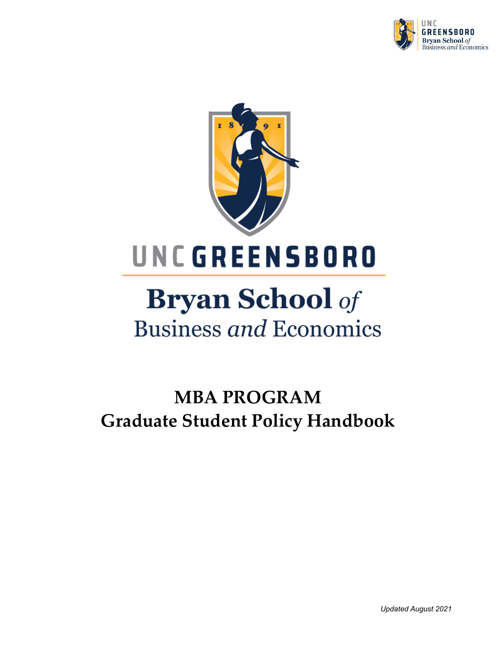



# **Bryan School** of **Business and Economics**

# **MBA PROGRAM Graduate Student Policy Handbook**

*Updated August 2021*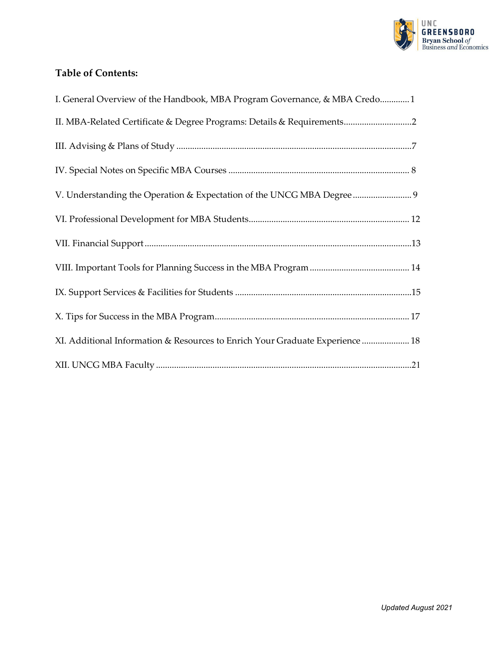

# **Table of Contents:**

| I. General Overview of the Handbook, MBA Program Governance, & MBA Credo1     |  |
|-------------------------------------------------------------------------------|--|
|                                                                               |  |
|                                                                               |  |
|                                                                               |  |
| V. Understanding the Operation & Expectation of the UNCG MBA Degree  9        |  |
|                                                                               |  |
|                                                                               |  |
|                                                                               |  |
|                                                                               |  |
|                                                                               |  |
| XI. Additional Information & Resources to Enrich Your Graduate Experience  18 |  |
|                                                                               |  |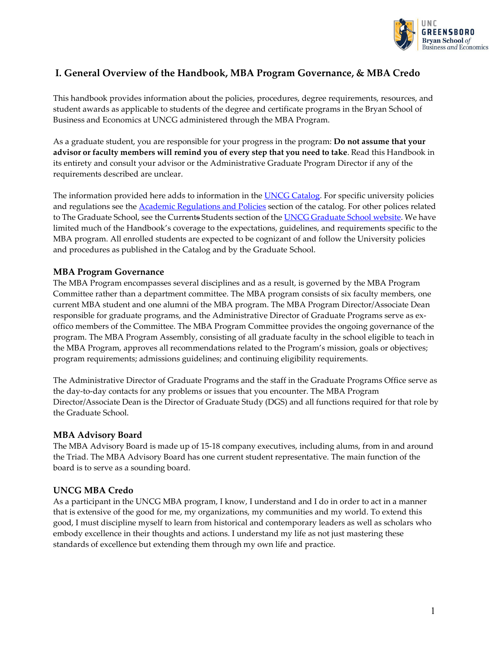

# <span id="page-2-0"></span>**I. General Overview of the Handbook, MBA Program Governance, & MBA Credo**

This handbook provides information about the policies, procedures, degree requirements, resources, and student awards as applicable to students of the degree and certificate programs in the Bryan School of Business and Economics at UNCG administered through the MBA Program.

As a graduate student, you are responsible for your progress in the program: **Do not assume that your advisor or faculty members will remind you of every step that you need to take**. Read this Handbook in its entirety and consult your advisor or the Administrative Graduate Program Director if any of the requirements described are unclear.

The information provided here adds to information in the **UNCG Catalog**. For specific university policies and regulations see the **Academic Regulations and Policies** section of the catalog. For other polices related to The [Graduate](https://grs.uncg.edu/) School, see the Current<del>s</del> Students section of the **UNCG Graduate School website**. We have limited much of the Handbook's coverage to the expectations, guidelines, and requirements specific to the MBA program. All enrolled students are expected to be cognizant of and follow the University policies and procedures as published in the Catalog and by the Graduate School.

#### **MBA Program Governance**

The MBA Program encompasses several disciplines and as a result, is governed by the MBA Program Committee rather than a department committee. The MBA program consists of six faculty members, one current MBA student and one alumni of the MBA program. The MBA Program Director/Associate Dean responsible for graduate programs, and the Administrative Director of Graduate Programs serve as exoffico members of the Committee. The MBA Program Committee provides the ongoing governance of the program. The MBA Program Assembly, consisting of all graduate faculty in the school eligible to teach in the MBA Program, approves all recommendations related to the Program's mission, goals or objectives; program requirements; admissions guidelines; and continuing eligibility requirements.

The Administrative Director of Graduate Programs and the staff in the Graduate Programs Office serve as the day-to-day contacts for any problems or issues that you encounter. The MBA Program Director/Associate Dean is the Director of Graduate Study (DGS) and all functions required for that role by the Graduate School.

#### **MBA Advisory Board**

The MBA Advisory Board is made up of 15-18 company executives, including alums, from in and around the Triad. The MBA Advisory Board has one current student representative. The main function of the board is to serve as a sounding board.

#### **UNCG MBA Credo**

As a participant in the UNCG MBA program, I know, I understand and I do in order to act in a manner that is extensive of the good for me, my organizations, my communities and my world. To extend this good, I must discipline myself to learn from historical and contemporary leaders as well as scholars who embody excellence in their thoughts and actions. I understand my life as not just mastering these standards of excellence but extending them through my own life and practice.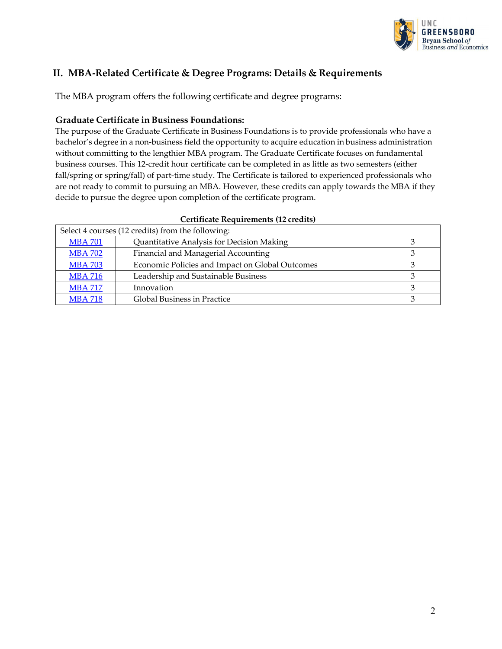

# <span id="page-3-0"></span>**II. MBA-Related Certificate & Degree Programs: Details & Requirements**

The MBA program offers the following certificate and degree programs:

#### **Graduate Certificate in Business Foundations:**

The purpose of the Graduate Certificate in Business Foundations is to provide professionals who have a bachelor's degree in a non-business field the opportunity to acquire education in business administration without committing to the lengthier MBA program. The Graduate Certificate focuses on fundamental business courses. This 12-credit hour certificate can be completed in as little as two semesters (either fall/spring or spring/fall) of part-time study. The Certificate is tailored to experienced professionals who are not ready to commit to pursuing an MBA. However, these credits can apply towards the MBA if they decide to pursue the degree upon completion of the certificate program.

| Select 4 courses (12 credits) from the following: |                                                 |  |
|---------------------------------------------------|-------------------------------------------------|--|
| <b>MBA 701</b>                                    | Quantitative Analysis for Decision Making       |  |
| <b>MBA 702</b>                                    | Financial and Managerial Accounting             |  |
| <b>MBA 703</b>                                    | Economic Policies and Impact on Global Outcomes |  |
| <b>MBA 716</b>                                    | Leadership and Sustainable Business             |  |
| <b>MBA 717</b>                                    | Innovation                                      |  |
| <b>MBA 718</b>                                    | Global Business in Practice                     |  |

#### **Certificate Requirements (12 credits)**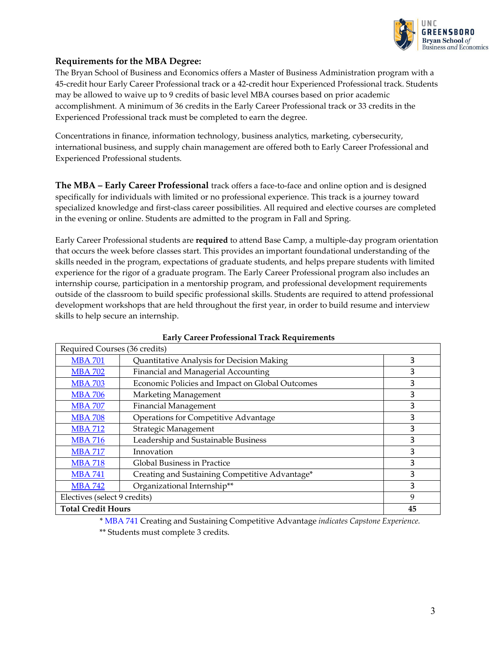

#### **Requirements for the MBA Degree:**

The Bryan School of Business and Economics offers a Master of Business Administration program with a 45-credit hour Early Career Professional track or a 42-credit hour Experienced Professional track. Students may be allowed to waive up to 9 credits of basic level MBA courses based on prior academic accomplishment. A minimum of 36 credits in the Early Career Professional track or 33 credits in the Experienced Professional track must be completed to earn the degree.

Concentrations in finance, information technology, business analytics, marketing, cybersecurity, international business, and supply chain management are offered both to Early Career Professional and Experienced Professional students.

**The MBA – Early Career Professional** track offers a face-to-face and online option and is designed specifically for individuals with limited or no professional experience. This track is a journey toward specialized knowledge and first-class career possibilities. All required and elective courses are completed in the evening or online. Students are admitted to the program in Fall and Spring.

Early Career Professional students are **required** to attend Base Camp, a multiple-day program orientation that occurs the week before classes start. This provides an important foundational understanding of the skills needed in the program, expectations of graduate students, and helps prepare students with limited experience for the rigor of a graduate program. The Early Career Professional program also includes an internship course, participation in a mentorship program, and professional development requirements outside of the classroom to build specific professional skills. Students are required to attend professional development workshops that are held throughout the first year, in order to build resume and interview skills to help secure an internship.

| Required Courses (36 credits) |                                                 |    |
|-------------------------------|-------------------------------------------------|----|
| <b>MBA 701</b>                | Quantitative Analysis for Decision Making       | 3  |
| <b>MBA 702</b>                | Financial and Managerial Accounting             | 3  |
| <b>MBA 703</b>                | Economic Policies and Impact on Global Outcomes | 3  |
| <b>MBA 706</b>                | Marketing Management                            | 3  |
| <b>MBA 707</b>                | <b>Financial Management</b>                     | 3  |
| <b>MBA 708</b>                | <b>Operations for Competitive Advantage</b>     | 3  |
| <b>MBA 712</b>                | Strategic Management                            | 3  |
| <b>MBA 716</b>                | Leadership and Sustainable Business             | 3  |
| <b>MBA 717</b>                | Innovation                                      | 3  |
| <b>MBA 718</b>                | Global Business in Practice                     | 3  |
| <b>MBA 741</b>                | Creating and Sustaining Competitive Advantage*  | 3  |
| <b>MBA 742</b>                | Organizational Internship**                     | 3  |
| Electives (select 9 credits)  |                                                 | 9  |
| <b>Total Credit Hours</b>     |                                                 | 45 |

#### **Early Career Professional Track Requirements**

\* [MBA](https://catalog.uncg.edu/search/?P=MBA%20741) 741 Creating and Sustaining Competitive Advantage *indicates Capstone Experience.* \*\* Students must complete 3 credits.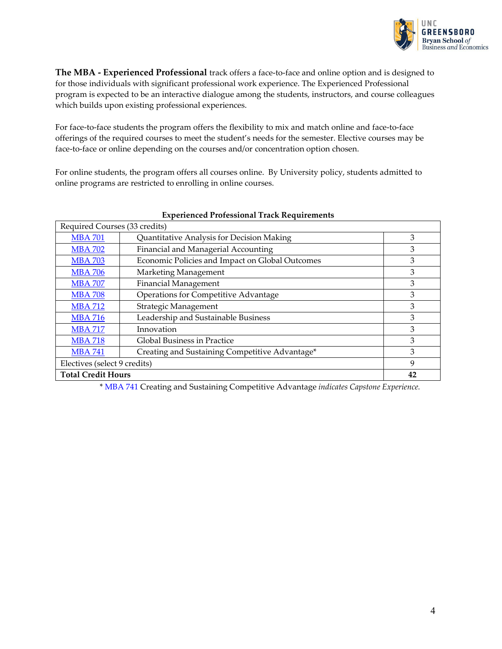

**The MBA - Experienced Professional** track offers a face-to-face and online option and is designed to for those individuals with significant professional work experience. The Experienced Professional program is expected to be an interactive dialogue among the students, instructors, and course colleagues which builds upon existing professional experiences.

For face-to-face students the program offers the flexibility to mix and match online and face-to-face offerings of the required courses to meet the student's needs for the semester. Elective courses may be face-to-face or online depending on the courses and/or concentration option chosen.

For online students, the program offers all courses online. By University policy, students admitted to online programs are restricted to enrolling in online courses.

| Required Courses (33 credits) |                                                 |    |
|-------------------------------|-------------------------------------------------|----|
| <b>MBA 701</b>                | Quantitative Analysis for Decision Making       | 3  |
| <b>MBA 702</b>                | Financial and Managerial Accounting             | 3  |
| <b>MBA 703</b>                | Economic Policies and Impact on Global Outcomes | 3  |
| <b>MBA 706</b>                | Marketing Management                            | 3  |
| <b>MBA 707</b>                | <b>Financial Management</b>                     | 3  |
| <b>MBA 708</b>                | <b>Operations for Competitive Advantage</b>     | 3  |
| <b>MBA 712</b>                | Strategic Management                            | 3  |
| <b>MBA 716</b>                | Leadership and Sustainable Business             | 3  |
| <b>MBA 717</b>                | Innovation                                      | 3  |
| <b>MBA 718</b>                | Global Business in Practice                     | 3  |
| <b>MBA 741</b>                | Creating and Sustaining Competitive Advantage*  | 3  |
| Electives (select 9 credits)  |                                                 | 9  |
| <b>Total Credit Hours</b>     |                                                 | 42 |

#### **Experienced Professional Track Requirements**

\* [MBA](https://catalog.uncg.edu/search/?P=MBA%20741) 741 Creating and Sustaining Competitive Advantage *indicates Capstone Experience.*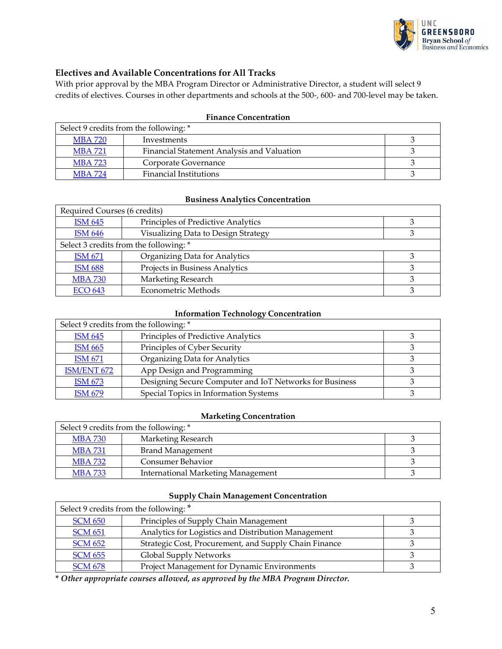

#### **Electives and Available Concentrations for All Tracks**

With prior approval by the MBA Program Director or Administrative Director, a student will select 9 credits of electives. Courses in other departments and schools at the 500-, 600- and 700-level may be taken.

| Select 9 credits from the following: * |                                            |  |
|----------------------------------------|--------------------------------------------|--|
| MBA 720                                | Investments                                |  |
| <b>MBA 721</b>                         | Financial Statement Analysis and Valuation |  |
| <b>MBA 723</b>                         | Corporate Governance                       |  |
| <b>MBA 724</b>                         | <b>Financial Institutions</b>              |  |

#### **Finance Concentration**

#### **Business Analytics Concentration**

| Required Courses (6 credits)           |                                     |  |
|----------------------------------------|-------------------------------------|--|
| <b>ISM 645</b>                         | Principles of Predictive Analytics  |  |
| <b>ISM 646</b>                         | Visualizing Data to Design Strategy |  |
| Select 3 credits from the following: * |                                     |  |
| <b>ISM 671</b>                         | Organizing Data for Analytics       |  |
| <b>ISM 688</b>                         | Projects in Business Analytics      |  |
| <b>MBA 730</b>                         | Marketing Research                  |  |
| <b>ECO 643</b>                         | <b>Econometric Methods</b>          |  |

#### **Information Technology Concentration**

| Select 9 credits from the following: * |                                                         |  |
|----------------------------------------|---------------------------------------------------------|--|
| <b>ISM 645</b>                         | Principles of Predictive Analytics                      |  |
| <b>ISM 665</b>                         | Principles of Cyber Security                            |  |
| <b>ISM 671</b>                         | Organizing Data for Analytics                           |  |
| ISM/ENT 672                            | App Design and Programming                              |  |
| <b>ISM 673</b>                         | Designing Secure Computer and IoT Networks for Business |  |
| <b>ISM 679</b>                         | Special Topics in Information Systems                   |  |

#### **Marketing Concentration**

| Select 9 credits from the following: * |                                           |  |
|----------------------------------------|-------------------------------------------|--|
| <b>MBA 730</b>                         | Marketing Research                        |  |
| <b>MBA731</b>                          | Brand Management                          |  |
| <b>MBA 732</b>                         | Consumer Behavior                         |  |
| <b>MBA 733</b>                         | <b>International Marketing Management</b> |  |

#### **Supply Chain Management Concentration**

| Select 9 credits from the following: * |                                                       |  |
|----------------------------------------|-------------------------------------------------------|--|
| <b>SCM 650</b>                         | Principles of Supply Chain Management                 |  |
| <b>SCM 651</b>                         | Analytics for Logistics and Distribution Management   |  |
| <b>SCM 652</b>                         | Strategic Cost, Procurement, and Supply Chain Finance |  |
| <b>SCM 655</b>                         | Global Supply Networks                                |  |
| <b>SCM 678</b>                         | Project Management for Dynamic Environments           |  |

**\*** *Other appropriate courses allowed, as approved by the MBA Program Director.*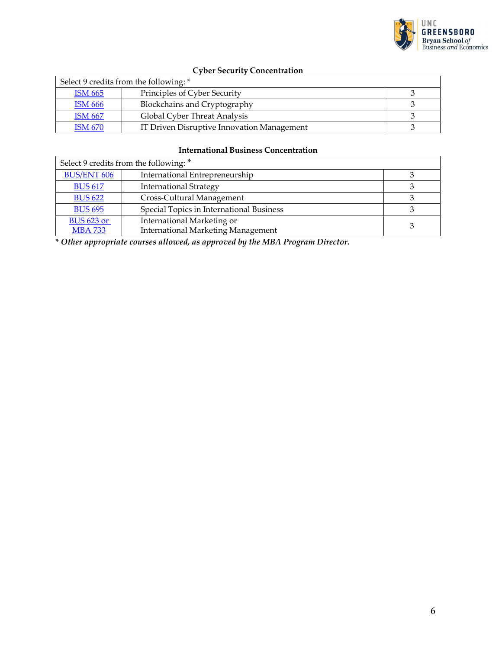

# **Cyber Security Concentration**

| Select 9 credits from the following: * |                                            |  |
|----------------------------------------|--------------------------------------------|--|
| <b>ISM 665</b>                         | Principles of Cyber Security               |  |
| <b>ISM 666</b>                         | Blockchains and Cryptography               |  |
| <b>ISM 667</b>                         | Global Cyber Threat Analysis               |  |
| <b>ISM 670</b>                         | IT Driven Disruptive Innovation Management |  |

#### **International Business Concentration**

| Select 9 credits from the following: * |                                           |  |
|----------------------------------------|-------------------------------------------|--|
| <b>BUS/ENT 606</b>                     | International Entrepreneurship            |  |
| <b>BUS 617</b>                         | <b>International Strategy</b>             |  |
| <b>BUS 622</b>                         | Cross-Cultural Management                 |  |
| <b>BUS 695</b>                         | Special Topics in International Business  |  |
| <b>BUS 623 or</b>                      | International Marketing or                |  |
| <b>MBA 733</b>                         | <b>International Marketing Management</b> |  |

**\*** *Other appropriate courses allowed, as approved by the MBA Program Director.*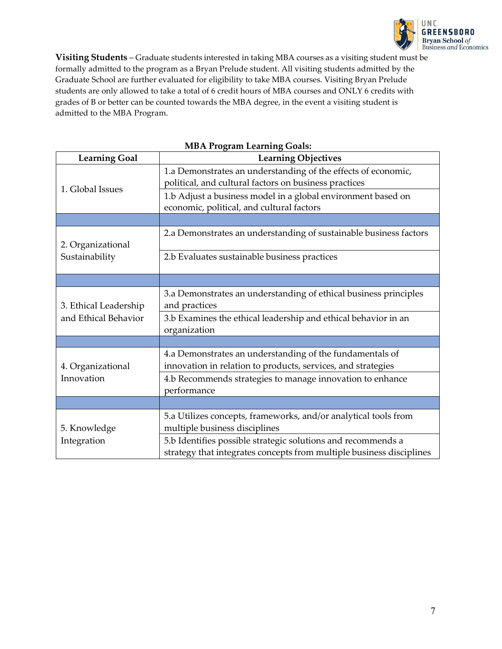

**Visiting Students** – Graduate students interested in taking MBA courses as a visiting student must be formally admitted to the program as a Bryan Prelude student. All visiting students admitted by the Graduate School are further evaluated for eligibility to take MBA courses. Visiting Bryan Prelude students are only allowed to take a total of 6 credit hours of MBA courses and ONLY 6 credits with grades of B or better can be counted towards the MBA degree, in the event a visiting student is admitted to the MBA Program.

| <b>Learning Goal</b>  | <b>Learning Objectives</b>                                                                                                           |
|-----------------------|--------------------------------------------------------------------------------------------------------------------------------------|
|                       | 1.a Demonstrates an understanding of the effects of economic,<br>political, and cultural factors on business practices               |
| 1. Global Issues      | 1.b Adjust a business model in a global environment based on<br>economic, political, and cultural factors                            |
|                       |                                                                                                                                      |
| 2. Organizational     | 2.a Demonstrates an understanding of sustainable business factors                                                                    |
| Sustainability        | 2.b Evaluates sustainable business practices                                                                                         |
|                       |                                                                                                                                      |
| 3. Ethical Leadership | 3.a Demonstrates an understanding of ethical business principles<br>and practices                                                    |
| and Ethical Behavior  | 3.b Examines the ethical leadership and ethical behavior in an<br>organization                                                       |
|                       |                                                                                                                                      |
| 4. Organizational     | 4.a Demonstrates an understanding of the fundamentals of<br>innovation in relation to products, services, and strategies             |
| Innovation            | 4.b Recommends strategies to manage innovation to enhance<br>performance                                                             |
|                       |                                                                                                                                      |
| 5. Knowledge          | 5.a Utilizes concepts, frameworks, and/or analytical tools from<br>multiple business disciplines                                     |
| Integration           | 5.b Identifies possible strategic solutions and recommends a<br>strategy that integrates concepts from multiple business disciplines |

#### **MBA Program Learning Goals:**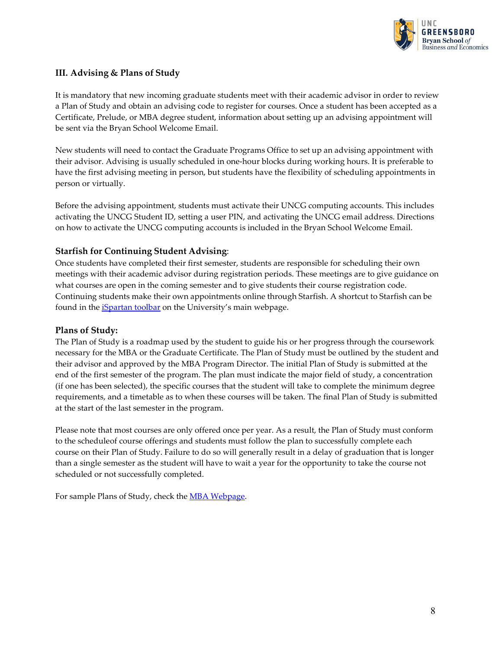

#### <span id="page-9-0"></span>**III. Advising & Plans of Study**

It is mandatory that new incoming graduate students meet with their academic advisor in order to review a Plan of Study and obtain an advising code to register for courses. Once a student has been accepted as a Certificate, Prelude, or MBA degree student, information about setting up an advising appointment will be sent via the Bryan School Welcome Email.

New students will need to contact the Graduate Programs Office to set up an advising appointment with their advisor. Advising is usually scheduled in one-hour blocks during working hours. It is preferable to have the first advising meeting in person, but students have the flexibility of scheduling appointments in person or virtually.

Before the advising appointment, students must activate their UNCG computing accounts. This includes activating the UNCG Student ID, setting a user PIN, and activating the UNCG email address. Directions on how to activate the UNCG computing accounts is included in the Bryan School Welcome Email.

#### **Starfish for Continuing Student Advising**:

Once students have completed their first semester, students are responsible for scheduling their own meetings with their academic advisor during registration periods. These meetings are to give guidance on what courses are open in the coming semester and to give students their course registration code. Continuing students make their own appointments online through Starfish. A shortcut to Starfish can be found in the *iSpartan toolbar* on the University's main webpage.

#### **Plans of Study:**

The Plan of Study is a roadmap used by the student to guide his or her progress through the coursework necessary for the MBA or the Graduate Certificate. The Plan of Study must be outlined by the student and their advisor and approved by the MBA Program Director. The initial Plan of Study is submitted at the end of the first semester of the program. The plan must indicate the major field of study, a concentration (if one has been selected), the specific courses that the student will take to complete the minimum degree requirements, and a timetable as to when these courses will be taken. The final Plan of Study is submitted at the start of the last semester in the program.

Please note that most courses are only offered once per year. As a result, the Plan of Study must conform to the scheduleof course offerings and students must follow the plan to successfully complete each course on their Plan of Study. Failure to do so will generally result in a delay of graduation that is longer than a single semester as the student will have to wait a year for the opportunity to take the course not scheduled or not successfully completed.

For sample Plans of Study, check the **MBA Webpage**.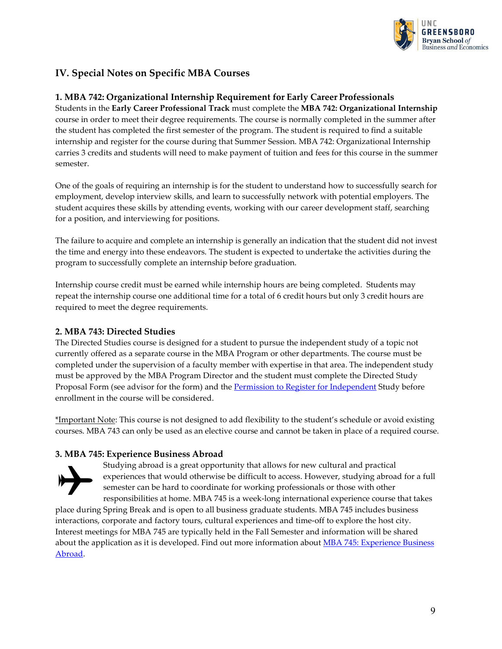

# <span id="page-10-0"></span>**IV. Special Notes on Specific MBA Courses**

#### **1. MBA 742: Organizational Internship Requirement for Early Career Professionals**

Students in the **Early Career Professional Track** must complete the **MBA 742: Organizational Internship** course in order to meet their degree requirements. The course is normally completed in the summer after the student has completed the first semester of the program. The student is required to find a suitable internship and register for the course during that Summer Session. MBA 742: Organizational Internship carries 3 credits and students will need to make payment of tuition and fees for this course in the summer semester.

One of the goals of requiring an internship is for the student to understand how to successfully search for employment, develop interview skills, and learn to successfully network with potential employers. The student acquires these skills by attending events, working with our career development staff, searching for a position, and interviewing for positions.

The failure to acquire and complete an internship is generally an indication that the student did not invest the time and energy into these endeavors. The student is expected to undertake the activities during the program to successfully complete an internship before graduation.

Internship course credit must be earned while internship hours are being completed. Students may repeat the internship course one additional time for a total of 6 credit hours but only 3 credit hours are required to meet the degree requirements.

#### **2. MBA 743: Directed Studies**

The Directed Studies course is designed for a student to pursue the independent study of a topic not currently offered as a separate course in the MBA Program or other departments. The course must be completed under the supervision of a faculty member with expertise in that area. The independent study must be approved by the MBA Program Director and the student must complete the Directed Study Proposal Form (see advisor for the form) and th[e Permission to Register for Independent](https://www.uncg.edu/reg/Forms/IndependentStudyPermission.pdf) Study before enrollment in the course will be considered.

\*Important Note: This course is not designed to add flexibility to the student's schedule or avoid existing courses. MBA 743 can only be used as an elective course and cannot be taken in place of a required course.

#### **3. MBA 745: Experience Business Abroad**



Studying abroad is a great opportunity that allows for new cultural and practical experiences that would otherwise be difficult to access. However, studying abroad for a full semester can be hard to coordinate for working professionals or those with other responsibilities at home. MBA 745 is a week-long international experience course that takes

place during Spring Break and is open to all business graduate students. MBA 745 includes business interactions, corporate and factory tours, cultural experiences and time-off to explore the host city. Interest meetings for MBA 745 are typically held in the Fall Semester and information will be shared about the application as it is developed. Find out more information about **MBA 745: Experience Business** [Abroad.](https://bryan.uncg.edu/graduate/study-abroad-for-mba-students/)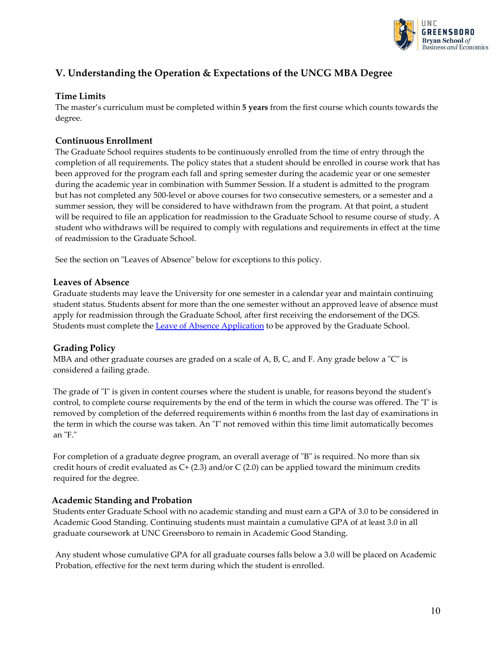

# **V. Understanding the Operation & Expectations of the UNCG MBA Degree**

#### **Time Limits**

The master's curriculum must be completed within **5 years** from the first course which counts towards the degree.

#### **Continuous Enrollment**

The Graduate School requires students to be continuously enrolled from the time of entry through the completion of all requirements. The policy states that a student should be enrolled in course work that has been approved for the program each fall and spring semester during the academic year or one semester during the academic year in combination with Summer Session. If a student is admitted to the program but has not completed any 500-level or above courses for two consecutive semesters, or a semester and a summer session, they will be considered to have withdrawn from the program. At that point, a student will be required to file an application for readmission to the Graduate School to resume course of study. A student who withdraws will be required to comply with regulations and requirements in effect at the time of readmission to the Graduate School.

See the section on "Leaves of Absence" below for exceptions to this policy.

#### **Leaves of Absence**

Graduate students may leave the University for one semester in a calendar year and maintain continuing student status. Students absent for more than the one semester without an approved leave of absence must apply for readmission through the Graduate School, after first receiving the endorsement of the DGS. Students must complete the **Leave of Absence [Application](https://grs.uncg.edu/wp-content/uploads/2016/08/Leave-of-Absence-Application.pdf)** to be approved by the Graduate School.

#### **Grading Policy**

MBA and other graduate courses are graded on a scale of A, B, C, and F. Any grade below a "C" is considered a failing grade.

The grade of "I" is given in content courses where the student is unable, for reasons beyond the student's control, to complete course requirements by the end of the term in which the course was offered. The "I" is removed by completion of the deferred requirements within 6 months from the last day of examinations in the term in which the course was taken. An "I" not removed within this time limit automatically becomes an "F."

For completion of a graduate degree program, an overall average of "B" is required. No more than six credit hours of credit evaluated as  $C+(2.3)$  and/or C (2.0) can be applied toward the minimum credits required for the degree.

#### **Academic Standing and Probation**

Students enter Graduate School with no academic standing and must earn a GPA of 3.0 to be considered in Academic Good Standing. Continuing students must maintain a cumulative GPA of at least 3.0 in all graduate coursework at UNC Greensboro to remain in Academic Good Standing.

Any student whose cumulative GPA for all graduate courses falls below a 3.0 will be placed on Academic Probation, effective for the next term during which the student is enrolled.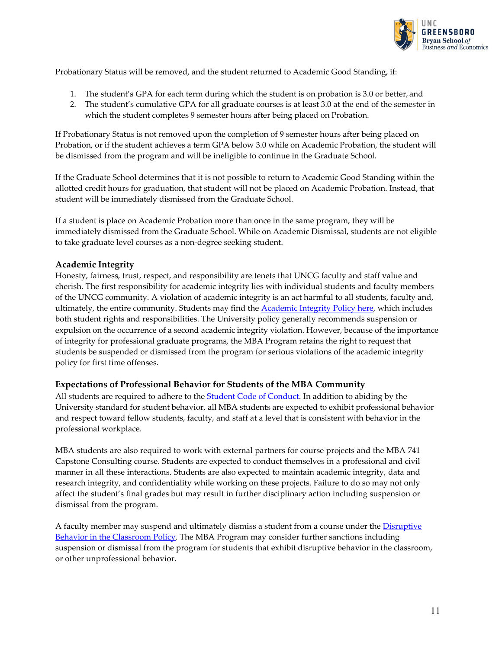

Probationary Status will be removed, and the student returned to Academic Good Standing, if:

- 1. The student's GPA for each term during which the student is on probation is 3.0 or better, and
- 2. The student's cumulative GPA for all graduate courses is at least 3.0 at the end of the semester in which the student completes 9 semester hours after being placed on Probation.

If Probationary Status is not removed upon the completion of 9 semester hours after being placed on Probation, or if the student achieves a term GPA below 3.0 while on Academic Probation, the student will be dismissed from the program and will be ineligible to continue in the Graduate School.

If the Graduate School determines that it is not possible to return to Academic Good Standing within the allotted credit hours for graduation, that student will not be placed on Academic Probation. Instead, that student will be immediately dismissed from the Graduate School.

If a student is place on Academic Probation more than once in the same program, they will be immediately dismissed from the Graduate School. While on Academic Dismissal, students are not eligible to take graduate level courses as a non-degree seeking student.

#### **Academic Integrity**

Honesty, fairness, trust, respect, and responsibility are tenets that UNCG faculty and staff value and cherish. The first responsibility for academic integrity lies with individual students and faculty members of the UNCG community. A violation of academic integrity is an act harmful to all students, faculty and, ultimately, the entire community. Students may find th[e Academic Integrity Policy here, w](https://osrr.uncg.edu/academic-integrity/)hich includes both student rights and responsibilities. The University policy generally recommends suspension or expulsion on the occurrence of a second academic integrity violation. However, because of the importance of integrity for professional graduate programs, the MBA Program retains the right to request that students be suspended or dismissed from the program for serious violations of the academic integrity policy for first time offenses.

#### **Expectations of Professional Behavior for Students of the MBA Community**

All students are required to adhere to the **Student Code of Conduct**. In addition to abiding by the University standard for student behavior, all MBA students are expected to exhibit professional behavior and respect toward fellow students, faculty, and staff at a level that is consistent with behavior in the professional workplace.

MBA students are also required to work with external partners for course projects and the MBA 741 Capstone Consulting course. Students are expected to conduct themselves in a professional and civil manner in all these interactions. Students are also expected to maintain academic integrity, data and research integrity, and confidentiality while working on these projects. Failure to do so may not only affect the student's final grades but may result in further disciplinary action including suspension or dismissal from the program.

A faculty member may suspend and ultimately dismiss a student from a course under the [Disruptive](https://sa.uncg.edu/handbook/wp-content/uploads/Disruptive-Behavior-in-the-Classroom-Policy-8-4-17.pdf) [Behavior in the Classroom Policy. T](https://sa.uncg.edu/handbook/wp-content/uploads/Disruptive-Behavior-in-the-Classroom-Policy-8-4-17.pdf)he MBA Program may consider further sanctions including suspension or dismissal from the program for students that exhibit disruptive behavior in the classroom, or other unprofessional behavior.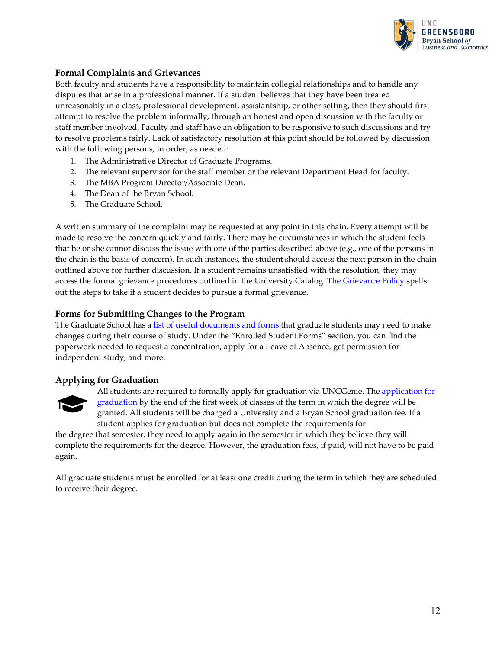

#### **Formal Complaints and Grievances**

Both faculty and students have a responsibility to maintain collegial relationships and to handle any disputes that arise in a professional manner. If a student believes that they have been treated unreasonably in a class, professional development, assistantship, or other setting, then they should first attempt to resolve the problem informally, through an honest and open discussion with the faculty or staff member involved. Faculty and staff have an obligation to be responsive to such discussions and try to resolve problems fairly. Lack of satisfactory resolution at this point should be followed by discussion with the following persons, in order, as needed:

- 1. The Administrative Director of Graduate Programs.
- 2. The relevant supervisor for the staff member or the relevant Department Head forfaculty.
- 3. The MBA Program Director/Associate Dean.
- 4. The Dean of the Bryan School.
- 5. The Graduate School.

A written summary of the complaint may be requested at any point in this chain. Every attempt will be made to resolve the concern quickly and fairly. There may be circumstances in which the student feels that he or she cannot discuss the issue with one of the parties described above (e.g., one of the persons in the chain is the basis of concern). In such instances, the student should access the next person in the chain outlined above for further discussion. If a student remains unsatisfied with the resolution, they may access the formal grievance procedures outlined in the University Catalog. [The Grievance Policy](https://sa.uncg.edu/student-grievance-and-appeals-policies-and-procedures/) spells out the steps to take if a student decides to pursue a formal grievance.

#### **Forms for Submitting Changes to the Program**

The Graduate School has a list of useful [documents](https://grs.uncg.edu/forms/) and forms that graduate students may need to make changes during their course of study. Under the "Enrolled Student Forms" section, you can find the paperwork needed to request a concentration, apply for a Leave of Absence, get permission for independent study, and more.

#### **Applying for Graduation**



All students are required to formally apply for graduation via UNCGenie. The [application](https://grs.uncg.edu/enrolled/graduation/) for [graduation b](https://grs.uncg.edu/enrolled/graduation/)y the end of the first week of classes of the term in which the degree will be granted. All students will be charged a University and a Bryan School graduation fee. If a student applies for graduation but does not complete the requirements for

the degree that semester, they need to apply again in the semester in which they believe they will complete the requirements for the degree. However, the graduation fees, if paid, will not have to be paid again.

All graduate students must be enrolled for at least one credit during the term in which they are scheduled to receive their degree.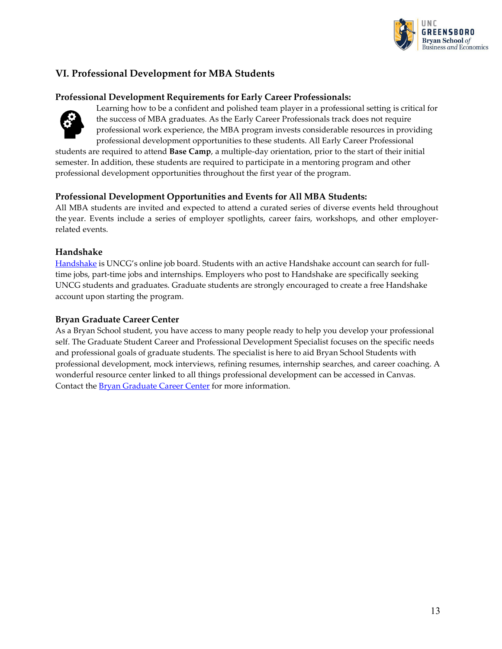

# <span id="page-14-0"></span>**VI. Professional Development for MBA Students**

#### **Professional Development Requirements for Early Career Professionals:**



Learning how to be a confident and polished team player in a professional setting is critical for the success of MBA graduates. As the Early Career Professionals track does not require professional work experience, the MBA program invests considerable resources in providing professional development opportunities to these students. All Early Career Professional

students are required to attend **Base Camp**, a multiple-day orientation, prior to the start of their initial semester. In addition, these students are required to participate in a mentoring program and other professional development opportunities throughout the first year of the program.

#### **Professional Development Opportunities and Events for All MBA Students:**

All MBA students are invited and expected to attend a curated series of diverse events held throughout the year. Events include a series of employer spotlights, career fairs, workshops, and other employerrelated events.

#### **Handshake**

[Handshake](https://handshake.uncg.edu/) is UNCG's online job board. Students with an active Handshake account can search for fulltime jobs, part-time jobs and internships. Employers who post to Handshake are specifically seeking UNCG students and graduates. Graduate students are strongly encouraged to create a free Handshake account upon starting the program.

#### **Bryan Graduate Career Center**

As a Bryan School student, you have access to many people ready to help you develop your professional self. The Graduate Student Career and Professional Development Specialist focuses on the specific needs and professional goals of graduate students. The specialist is here to aid Bryan School Students with professional development, mock interviews, refining resumes, internship searches, and career coaching. A wonderful resource center linked to all things professional development can be accessed in Canvas. Contact the **Bryan Graduate Career Center** for more information.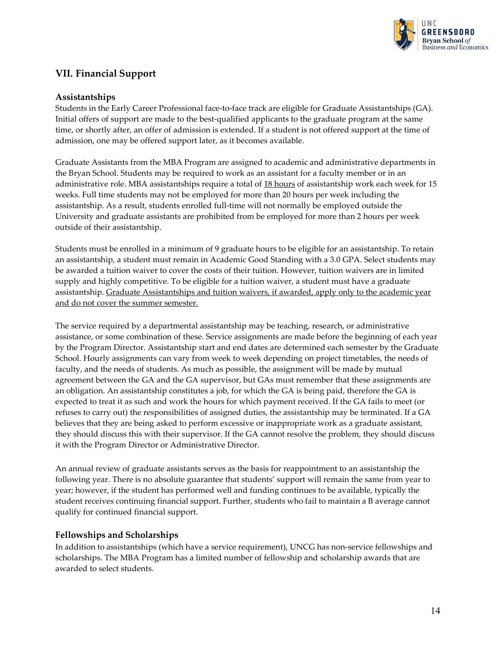

# <span id="page-15-0"></span>**VII. Financial Support**

#### **Assistantships**

Students in the Early Career Professional face-to-face track are eligible for Graduate Assistantships (GA). Initial offers of support are made to the best-qualified applicants to the graduate program at the same time, or shortly after, an offer of admission is extended. If a student is not offered support at the time of admission, one may be offered support later, as it becomes available.

Graduate Assistants from the MBA Program are assigned to academic and administrative departments in the Bryan School. Students may be required to work as an assistant for a faculty member or in an administrative role. MBA assistantships require a total of 18 hours of assistantship work each week for 15 weeks. Full time students may not be employed for more than 20 hours per week including the assistantship. As a result, students enrolled full-time will not normally be employed outside the University and graduate assistants are prohibited from be employed for more than 2 hours per week outside of their assistantship.

Students must be enrolled in a minimum of 9 graduate hours to be eligible for an assistantship. To retain an assistantship, a student must remain in Academic Good Standing with a 3.0 GPA. Select students may be awarded a tuition waiver to cover the costs of their tuition. However, tuition waivers are in limited supply and highly competitive. To be eligible for a tuition waiver, a student must have a graduate assistantship. Graduate Assistantships and tuition waivers, if awarded, apply only to the academic year and do not cover the summer semester.

The service required by a departmental assistantship may be teaching, research, or administrative assistance, or some combination of these. Service assignments are made before the beginning of each year by the Program Director. Assistantship start and end dates are determined each semester by the Graduate School. Hourly assignments can vary from week to week depending on project timetables, the needs of faculty, and the needs of students. As much as possible, the assignment will be made by mutual agreement between the GA and the GA supervisor, but GAs must remember that these assignments are an obligation. An assistantship constitutes a job, for which the GA is being paid, therefore the GA is expected to treat it as such and work the hours for which payment received. If the GA fails to meet (or refuses to carry out) the responsibilities of assigned duties, the assistantship may be terminated. If a GA believes that they are being asked to perform excessive or inappropriate work as a graduate assistant, they should discuss this with their supervisor. If the GA cannot resolve the problem, they should discuss it with the Program Director or Administrative Director.

An annual review of graduate assistants serves as the basis for reappointment to an assistantship the following year. There is no absolute guarantee that students' support will remain the same from year to year; however, if the student has performed well and funding continues to be available, typically the student receives continuing financial support. Further, students who fail to maintain a B average cannot qualify for continued financial support.

#### **Fellowships and Scholarships**

In addition to assistantships (which have a service requirement), UNCG has non-service fellowships and scholarships. The MBA Program has a limited number of fellowship and scholarship awards that are awarded to select students.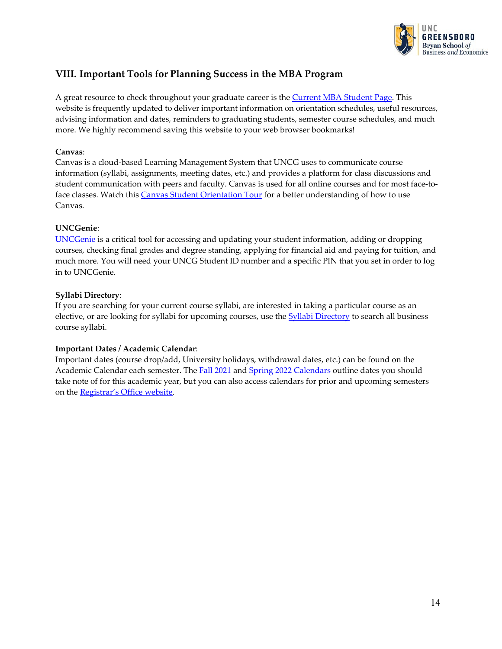

# <span id="page-16-0"></span>**VIII. Important Tools for Planning Success in the MBA Program**

A great resource to check throughout your graduate career is the Current MBA [Student Page.](https://bryan.uncg.edu/advising/) This website is frequently updated to deliver important information on orientation schedules, useful resources, advising information and dates, reminders to graduating students, semester course schedules, and much more. We highly recommend saving this website to your web browser bookmarks!

#### **Canvas**:

Canvas is a cloud-based Learning Management System that UNCG uses to communicate course information (syllabi, assignments, meeting dates, etc.) and provides a platform for class discussions and student communication with peers and faculty. Canvas is used for all online courses and for most face-to-face classes. Watch this [Canvas Student Orientation Tour](https://www.youtube.com/watch?v=x3j8V-uLkNw) for a better understanding of how to use Canvas.

#### **UNCGenie**:

[UNCGenie](https://ssb.uncg.edu/pls/prod/twbkwbis.P_GenMenu?name=homepage) is a critical tool for accessing and updating your student information, adding or dropping courses, checking final grades and degree standing, applying for financial aid and paying for tuition, and much more. You will need your UNCG Student ID number and a specific PIN that you set in order to log in to UNCGenie.

#### **Syllabi Directory**:

If you are searching for your current course syllabi, are interested in taking a particular course as an elective, or are looking for syllabi for upcoming courses, use the **Syllabi Directory** to search all business course syllabi.

#### **Important Dates / Academic Calendar**:

Important dates (course drop/add, University holidays, withdrawal dates, etc.) can be found on the Academic Calendar each semester. The [Fall 2021](https://reg.uncg.edu/calendars/fall-2021-academic-calendar/) and [Spring 2022 Calendars](https://reg.uncg.edu/calendars/spring-2022-academic-calendar/) outline dates you should take note of for this academic year, but you can also access calendars for prior and upcoming semesters on the [Registrar's Office website.](https://reg.uncg.edu/calendars/)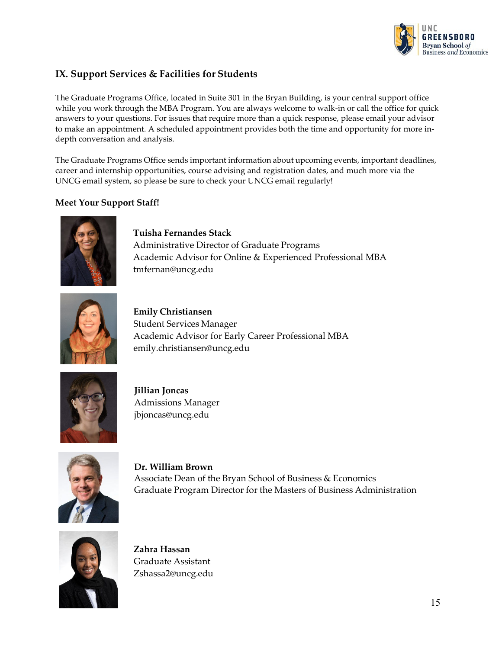

# <span id="page-17-0"></span>**IX. Support Services & Facilities for Students**

The Graduate Programs Office, located in Suite 301 in the Bryan Building, is your central support office while you work through the MBA Program. You are always welcome to walk-in or call the office for quick answers to your questions. For issues that require more than a quick response, please email your advisor to make an appointment. A scheduled appointment provides both the time and opportunity for more indepth conversation and analysis.

The Graduate Programs Office sends important information about upcoming events, important deadlines, career and internship opportunities, course advising and registration dates, and much more via the UNCG email system, so please be sure to check your UNCG email regularly!

### **Meet Your Support Staff!**



**Tuisha Fernandes Stack** Administrative Director of Graduate Programs Academic Advisor for Online & Experienced Professional MBA [tmfernan@uncg.edu](mailto:tmfernan@uncg.edu)



**Emily Christiansen** Student Services Manager Academic Advisor for Early Career Professional MBA [emily.christiansen@uncg.edu](mailto:emily.christiansen@uncg.edu)



**Jillian Joncas** Admissions Manager [jbjoncas@uncg.edu](mailto:jbjoncas@uncg.edu)



**Dr. William Brown** Associate Dean of the Bryan School of Business & Economics Graduate Program Director for the Masters of Business Administration



**Zahra Hassan** Graduate Assistant Zshassa2@uncg.edu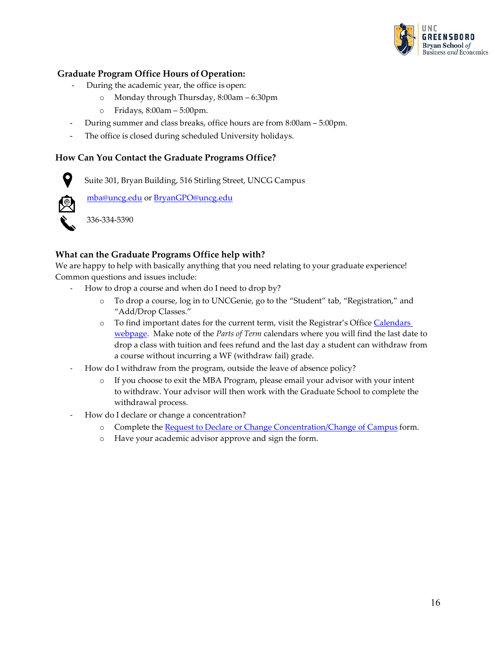

#### **Graduate Program Office Hours of Operation:**

- During the academic year, the office is open:
	- o Monday through Thursday, 8:00am 6:30pm
	- o Fridays, 8:00am 5:00pm.
- During summer and class breaks, office hours are from 8:00am 5:00pm.
- The office is closed during scheduled University holidays.

#### **How Can You Contact the Graduate Programs Office?**

Suite 301, Bryan Building, 516 Stirling Street, UNCG Campus



9

[mba@uncg.edu](mailto:mba@uncg.edu) or [BryanGPO@uncg.edu](mailto:BryanGPO@uncg.edu)

336-334-5390

#### **What can the Graduate Programs Office help with?**

We are happy to help with basically anything that you need relating to your graduate experience! Common questions and issues include:

- How to drop a course and when do I need to drop by?
	- o To drop a course, log in to UNCGenie, go to the "Student" tab, "Registration," and "Add/Drop Classes."
	- o To find important dates for the current term, visit the Registrar's Office [Calendars](https://reg.uncg.edu/faculty/calendars/)  [webpage.](https://reg.uncg.edu/faculty/calendars/) Make note of the *Parts of Term* calendars where you will find the last date to drop a class with tuition and fees refund and the last day a student can withdraw from a course without incurring a WF (withdraw fail) grade.
- How do I withdraw from the program, outside the leave of absence policy?
	- o If you choose to exit the MBA Program, please email your advisor with your intent to withdraw. Your advisor will then work with the Graduate School to complete the withdrawal process.
- How do I declare or change a concentration?
	- o Complete the Request to Declare or Change [Concentration/Change](https://grs.uncg.edu/wp-content/uploads/2012/02/REQUEST-TO-DECLARE-OR-CHANGE-CONCENTRATION.pdf) of Campus form.
	- o Have your academic advisor approve and sign the form.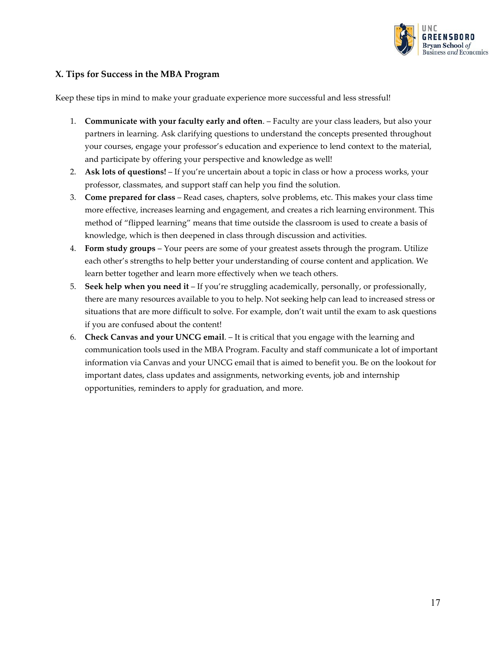

#### <span id="page-19-0"></span>**X. Tips for Success in the MBA Program**

Keep these tips in mind to make your graduate experience more successful and less stressful!

- 1. **Communicate with your faculty early and often**. Faculty are your class leaders, but also your partners in learning. Ask clarifying questions to understand the concepts presented throughout your courses, engage your professor's education and experience to lend context to the material, and participate by offering your perspective and knowledge as well!
- 2. **Ask lots of questions!**  If you're uncertain about a topic in class or how a process works, your professor, classmates, and support staff can help you find the solution.
- 3. **Come prepared for class**  Read cases, chapters, solve problems, etc. This makes your class time more effective, increases learning and engagement, and creates a rich learning environment. This method of "flipped learning" means that time outside the classroom is used to create a basis of knowledge, which is then deepened in class through discussion and activities.
- 4. **Form study groups**  Your peers are some of your greatest assets through the program. Utilize each other's strengths to help better your understanding of course content and application. We learn better together and learn more effectively when we teach others.
- 5. **Seek help when you need it**  If you're struggling academically, personally, or professionally, there are many resources available to you to help. Not seeking help can lead to increased stress or situations that are more difficult to solve. For example, don't wait until the exam to ask questions if you are confused about the content!
- 6. **Check Canvas and your UNCG email**. It is critical that you engage with the learning and communication tools used in the MBA Program. Faculty and staff communicate a lot of important information via Canvas and your UNCG email that is aimed to benefit you. Be on the lookout for important dates, class updates and assignments, networking events, job and internship opportunities, reminders to apply for graduation, and more.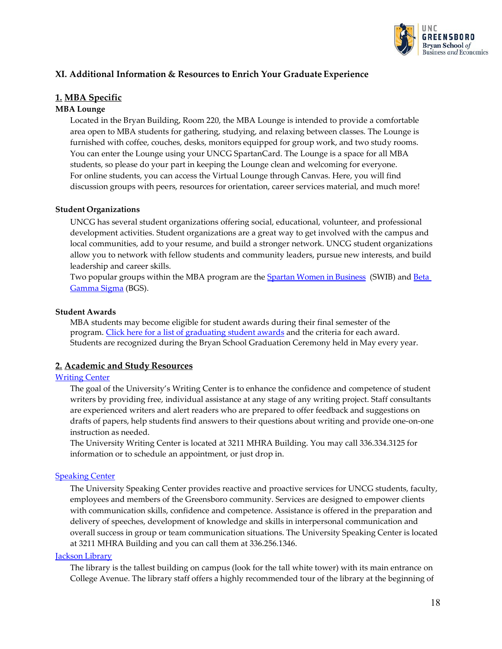

#### <span id="page-20-0"></span>**XI. Additional Information & Resources to Enrich Your Graduate Experience**

#### **1. MBA Specific**

#### **MBA Lounge**

Located in the Bryan Building, Room 220, the MBA Lounge is intended to provide a comfortable area open to MBA students for gathering, studying, and relaxing between classes. The Lounge is furnished with coffee, couches, desks, monitors equipped for group work, and two study rooms. You can enter the Lounge using your UNCG SpartanCard. The Lounge is a space for all MBA students, so please do your part in keeping the Lounge clean and welcoming for everyone. For online students, you can access the Virtual Lounge through Canvas. Here, you will find discussion groups with peers, resources for orientation, career services material, and much more!

#### **Student Organizations**

UNCG has several student organizations offering social, educational, volunteer, and professional development activities. Student organizations are a great way to get involved with the campus and local communities, add to your resume, and build a stronger network. UNCG student organizations allow you to network with fellow students and community leaders, pursue new interests, and build leadership and career skills.

Two popular groups within the MBA program are the [Spartan Women in Business](https://bryan.uncg.edu/student-organization/spartanwomeninbusiness/) (SWIB) and [Beta](https://bryan.uncg.edu/student-organization/beta-gamma-sigma/) [Gamma](https://bryan.uncg.edu/student-organization/beta-gamma-sigma/) Sigma (BGS).

#### **Student Awards**

MBA students may become eligible for student awards during their final semester of the program. [Click here for a list of graduating student awards](https://bryan.uncg.edu/graduate/mba-student-awards/) and the criteria for each award. Students are recognized during the Bryan School Graduation Ceremony held in May every year.

#### **2. Academic and Study Resources**

#### **[Writing](https://writingcenter.uncg.edu/) Center**

The goal of the University's Writing Center is to enhance the confidence and competence of student writers by providing free, individual assistance at any stage of any writing project. Staff consultants are experienced writers and alert readers who are prepared to offer feedback and suggestions on drafts of papers, help students find answers to their questions about writing and provide one-on-one instruction as needed.

The University Writing Center is located at 3211 MHRA Building. You may call 336.334.3125 for information or to schedule an appointment, or just drop in.

#### **[Speaking](https://speakingcenter.uncg.edu/) Center**

The University Speaking Center provides reactive and proactive services for UNCG students, faculty, employees and members of the Greensboro community. Services are designed to empower clients with communication skills, confidence and competence. Assistance is offered in the preparation and delivery of speeches, development of knowledge and skills in interpersonal communication and overall success in group or team communication situations. The University Speaking Center is located at 3211 MHRA Building and you can call them at 336.256.1346.

#### [Jackson](http://library.uncg.edu/) Library

The library is the tallest building on campus (look for the tall white tower) with its main entrance on College Avenue. The library staff offers a highly recommended tour of the library at the beginning of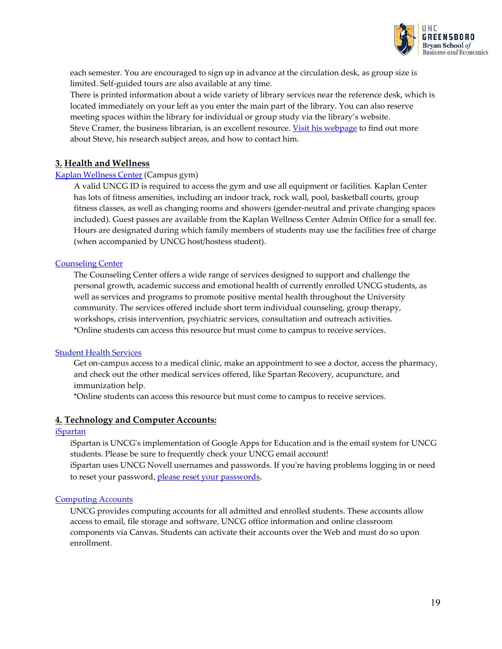

each semester. You are encouraged to sign up in advance at the circulation desk, as group size is limited. Self-guided tours are also available at any time.

There is printed information about a wide variety of library services near the reference desk, which is located immediately on your left as you enter the main part of the library. You can also reserve meeting spaces within the library for individual or group study via the library's website. Steve Cramer, the business librarian, is an excellent resource. [Visit his webpage](https://library.uncg.edu/info/depts/reference/staff/steve_cramer.aspx) to find out more about Steve, his research subject areas, and how to contact him.

#### **3. Health and Wellness**

#### Kaplan [Wellness](https://recwell.uncg.edu/) Center (Campus gym)

A valid UNCG ID is required to access the gym and use all equipment or facilities. Kaplan Center has lots of fitness amenities, including an indoor track, rock wall, pool, basketball courts, group fitness classes, as well as changing rooms and showers (gender-neutral and private changing spaces included). Guest passes are available from the Kaplan Wellness Center Admin Office for a small fee. Hours are designated during which family members of students may use the facilities free of charge (when accompanied by UNCG host/hostess student).

#### [Counseling](https://shs.uncg.edu/cc) Center

The Counseling Center offers a wide range of services designed to support and challenge the personal growth, academic success and emotional health of currently enrolled UNCG students, as well as services and programs to promote positive mental health throughout the University community. The services offered include short term individual counseling, group therapy, workshops, crisis intervention, psychiatric services, consultation and outreach activities. \*Online students can access this resource but must come to campus to receive services.

#### Student Health [Services](https://shs.uncg.edu/)

Get on-campus access to a medical clinic, make an appointment to see a doctor, access the pharmacy, and check out the other medical services offered, like Spartan Recovery, acupuncture, and immunization help.

\*Online students can access this resource but must come to campus to receive services.

#### **4. Technology and Computer Accounts:**

#### [iSpartan](https://ispartan.uncg.edu/)

iSpartan is UNCG's implementation of Google Apps for Education and is the email system for UNCG students. Please be sure to frequently check your UNCG email [account!](http://ispartan.uncg.edu/) iSpartan uses UNCG Novell usernames and passwords. If you're having problems logging in or need to reset your password, please [reset your passwords](https://reset.uncg.edu/prod/hwzksspr.P_UncgSSPR)[.](https://reset.uncg.edu/prod/hwzksspr.P_UncgSSPR)

#### [Computing](https://its.uncg.edu/Accounts/) Accounts

UNCG provides computing accounts for all admitted and enrolled students. These accounts allow access to email, file storage and software, UNCG office information and online classroom components via Canvas. Students can activate their accounts over the Web and must do so upon enrollment.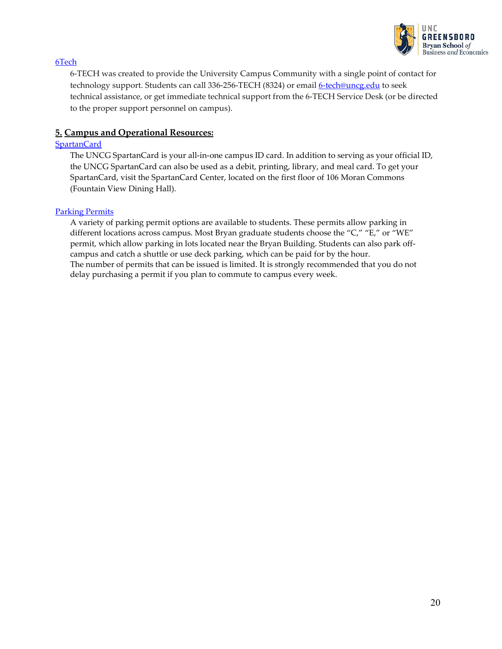

#### [6Tech](https://its.uncg.edu/Help/6TECH/)

6-TECH was created to provide the University Campus Community with a single point of contact for technology support. Students can call 336-256-TECH (8324) or email [6-tech@uncg.edu](mailto:6-tech@uncg.edu) to seek technical assistance, or get immediate technical support from the 6-TECH Service Desk (or be directed to the proper support personnel on campus).

#### **5. Campus and Operational Resources:**

#### **[SpartanCard](https://spartancard.uncg.edu/)**

The UNCG SpartanCard is your all-in-one campus ID card. In addition to serving as your official ID, the UNCG SpartanCard can also be used as a debit, printing, library, and meal card. To get your SpartanCard, visit the SpartanCard Center, located on the first floor of 106 Moran Commons (Fountain View Dining Hall).

#### [Parking](https://parking.uncg.edu/) Permits

A variety of parking permit options are available to students. These permits allow parking in different locations across campus. Most Bryan graduate students choose the "C," "E," or "WE" permit, which allow parking in lots located near the Bryan Building. Students can also park offcampus and catch a shuttle or use deck parking, which can be paid for by the hour. The number of permits that can be issued is limited. It is strongly recommended that you do not delay purchasing a permit if you plan to commute to campus every week.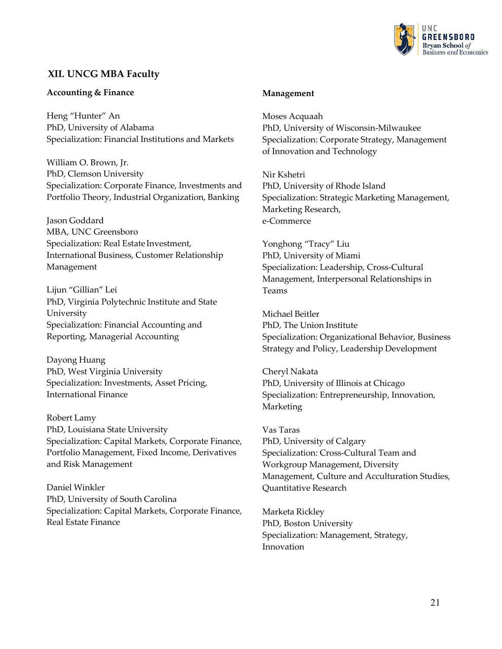

# <span id="page-23-0"></span>**XII. UNCG MBA Faculty**

#### **Accounting & Finance**

Heng "Hunter" An PhD, University of Alabama Specialization: Financial Institutions and Markets

William O. Brown, Jr. PhD, Clemson University Specialization: Corporate Finance, Investments and Portfolio Theory, Industrial Organization, Banking

Jason Goddard MBA, UNC Greensboro Specialization: Real Estate Investment, International Business, Customer Relationship Management

Lijun "Gillian" Lei PhD, Virginia Polytechnic Institute and State University Specialization: Financial Accounting and Reporting, Managerial Accounting

Dayong Huang PhD, West Virginia University Specialization: Investments, Asset Pricing, International Finance

Robert Lamy PhD, Louisiana State University Specialization: Capital Markets, Corporate Finance, Portfolio Management, Fixed Income, Derivatives and Risk Management

Daniel Winkler PhD, University of South Carolina Specialization: Capital Markets, Corporate Finance, Real Estate Finance

#### **Management**

Moses Acquaah PhD, University of Wisconsin-Milwaukee Specialization: Corporate Strategy, Management of Innovation and Technology

Nir Kshetri PhD, University of Rhode Island Specialization: Strategic Marketing Management, Marketing Research, e-Commerce

Yonghong "Tracy" Liu PhD, University of Miami Specialization: Leadership, Cross-Cultural Management, Interpersonal Relationships in Teams

Michael Beitler PhD, The Union Institute Specialization: Organizational Behavior, Business Strategy and Policy, Leadership Development

Cheryl Nakata PhD, University of Illinois at Chicago Specialization: Entrepreneurship, Innovation, Marketing

Vas Taras PhD, University of Calgary Specialization: Cross-Cultural Team and Workgroup Management, Diversity Management, Culture and Acculturation Studies, Quantitative Research

Marketa Rickley PhD, Boston University Specialization: Management, Strategy, Innovation